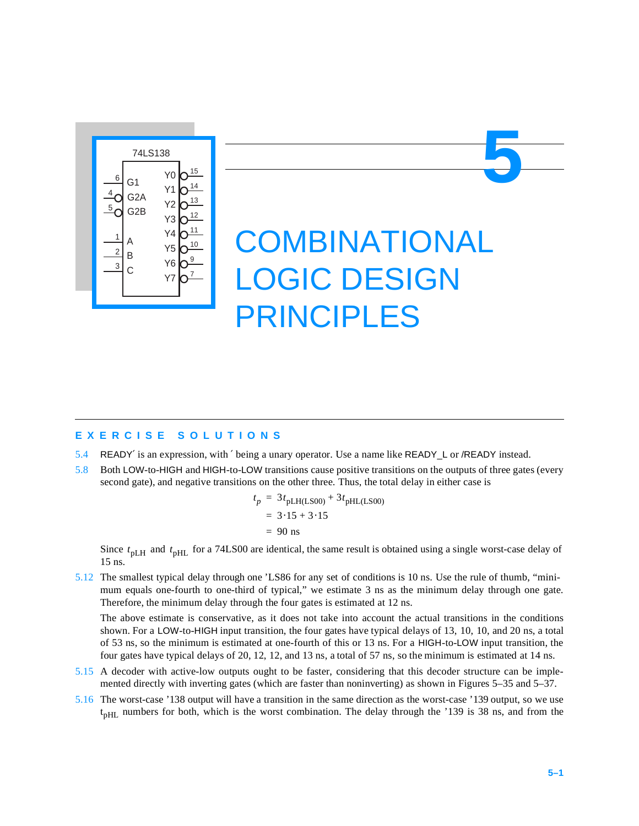

# **COMBINATIONAL** LOGIC DESIGN PRINCIPLES

### **EXERCISE SOLUTIONS**

- 5.4 READY′ is an expression, with ′ being a unary operator. Use a name like READY\_L or /READY instead.
- 5.8 Both LOW-to-HIGH and HIGH-to-LOW transitions cause positive transitions on the outputs of three gates (every second gate), and negative transitions on the other three. Thus, the total delay in either case is

$$
t_p = 3t_{pLH(LS00)} + 3t_{pHL(LS00)}
$$
  
= 3.15 + 3.15  
= 90 ns

Since  $t_{\text{pLH}}$  and  $t_{\text{pHL}}$  for a 74LS00 are identical, the same result is obtained using a single worst-case delay of 15 ns.

5.12 The smallest typical delay through one 'LS86 for any set of conditions is 10 ns. Use the rule of thumb, "minimum equals one-fourth to one-third of typical," we estimate 3 ns as the minimum delay through one gate. Therefore, the minimum delay through the four gates is estimated at 12 ns.

The above estimate is conservative, as it does not take into account the actual transitions in the conditions shown. For a LOW-to-HIGH input transition, the four gates have typical delays of 13, 10, 10, and 20 ns, a total of 53 ns, so the minimum is estimated at one-fourth of this or 13 ns. For a HIGH-to-LOW input transition, the four gates have typical delays of 20, 12, 12, and 13 ns, a total of 57 ns, so the minimum is estimated at 14 ns.

- 5.15 A decoder with active-low outputs ought to be faster, considering that this decoder structure can be implemented directly with inverting gates (which are faster than noninverting) as shown in Figures 5–35 and 5–37.
- 5.16 The worst-case '138 output will have a transition in the same direction as the worst-case '139 output, so we use  $t<sub>pHL</sub>$  numbers for both, which is the worst combination. The delay through the '139 is 38 ns, and from the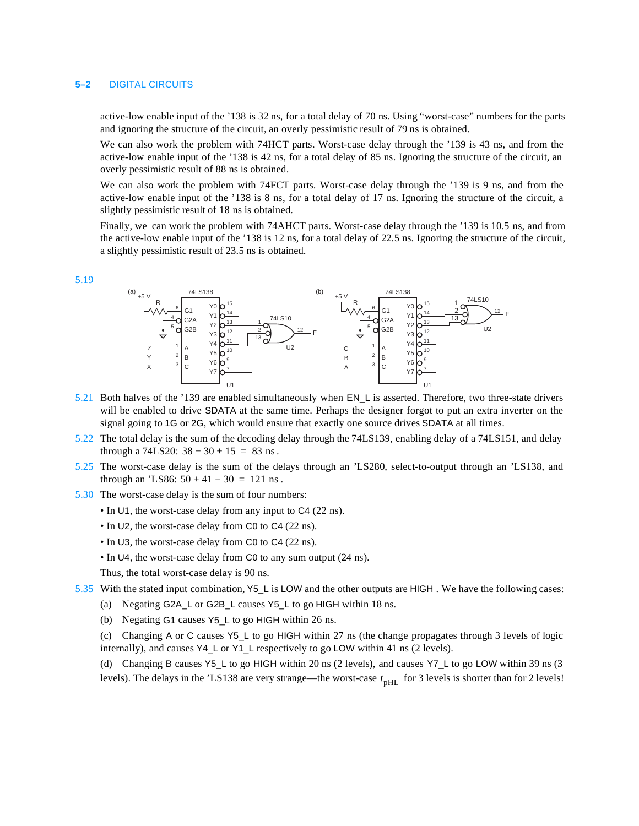#### **5–2** DIGITAL CIRCUITS

active-low enable input of the '138 is 32 ns, for a total delay of 70 ns. Using "worst-case" numbers for the parts and ignoring the structure of the circuit, an overly pessimistic result of 79 ns is obtained.

We can also work the problem with 74HCT parts. Worst-case delay through the '139 is 43 ns, and from the active-low enable input of the '138 is 42 ns, for a total delay of 85 ns. Ignoring the structure of the circuit, an overly pessimistic result of 88 ns is obtained.

We can also work the problem with 74FCT parts. Worst-case delay through the '139 is 9 ns, and from the active-low enable input of the '138 is 8 ns, for a total delay of 17 ns. Ignoring the structure of the circuit, a slightly pessimistic result of 18 ns is obtained.

Finally, we can work the problem with 74AHCT parts. Worst-case delay through the '139 is 10.5 ns, and from the active-low enable input of the '138 is 12 ns, for a total delay of 22.5 ns. Ignoring the structure of the circuit, a slightly pessimistic result of 23.5 ns is obtained.

5.19



- 5.21 Both halves of the '139 are enabled simultaneously when EN\_L is asserted. Therefore, two three-state drivers will be enabled to drive SDATA at the same time. Perhaps the designer forgot to put an extra inverter on the signal going to 1G or 2G, which would ensure that exactly one source drives SDATA at all times.
- 5.22 The total delay is the sum of the decoding delay through the 74LS139, enabling delay of a 74LS151, and delay through a  $74LS20$ :  $38 + 30 + 15 = 83$  ns.
- 5.25 The worst-case delay is the sum of the delays through an 'LS280, select-to-output through an 'LS138, and through an 'LS86:  $50 + 41 + 30 = 121$  ns.
- 5.30 The worst-case delay is the sum of four numbers:
	- In U1, the worst-case delay from any input to C4 (22 ns).
	- In U2, the worst-case delay from C0 to C4 (22 ns).
	- In U3, the worst-case delay from C0 to C4 (22 ns).
	- In U4, the worst-case delay from C0 to any sum output (24 ns).

Thus, the total worst-case delay is 90 ns.

- 5.35 With the stated input combination, Y5\_L is LOW and the other outputs are HIGH . We have the following cases:
	- (a) Negating G2A\_L or G2B\_L causes Y5\_L to go HIGH within 18 ns.
	- (b) Negating G1 causes Y5\_L to go HIGH within 26 ns.

(c) Changing A or C causes Y5\_L to go HIGH within 27 ns (the change propagates through 3 levels of logic internally), and causes Y4\_L or Y1\_L respectively to go LOW within 41 ns (2 levels).

(d) Changing B causes Y5\_L to go HIGH within 20 ns (2 levels), and causes Y7\_L to go LOW within 39 ns (3 levels). The delays in the 'LS138 are very strange—the worst-case  $t_{pHL}$  for 3 levels is shorter than for 2 levels!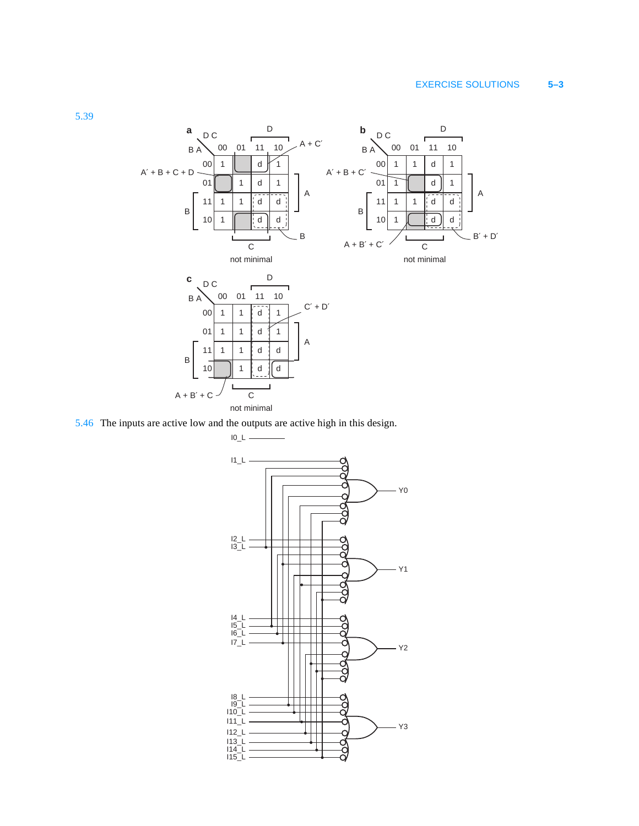## EXERCISE SOLUTIONS **5–3**



5.46 The inputs are active low and the outputs are active high in this design.

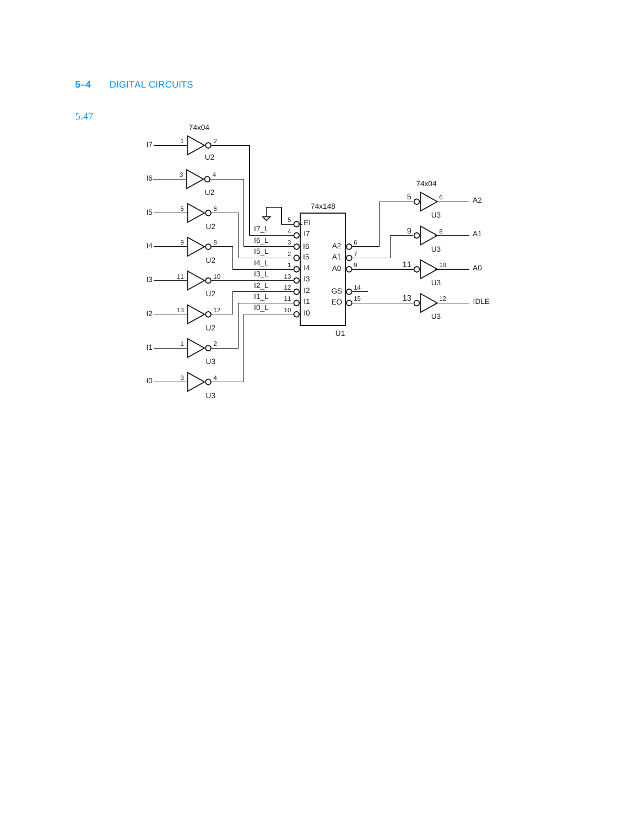## **5–4** DIGITAL CIRCUITS

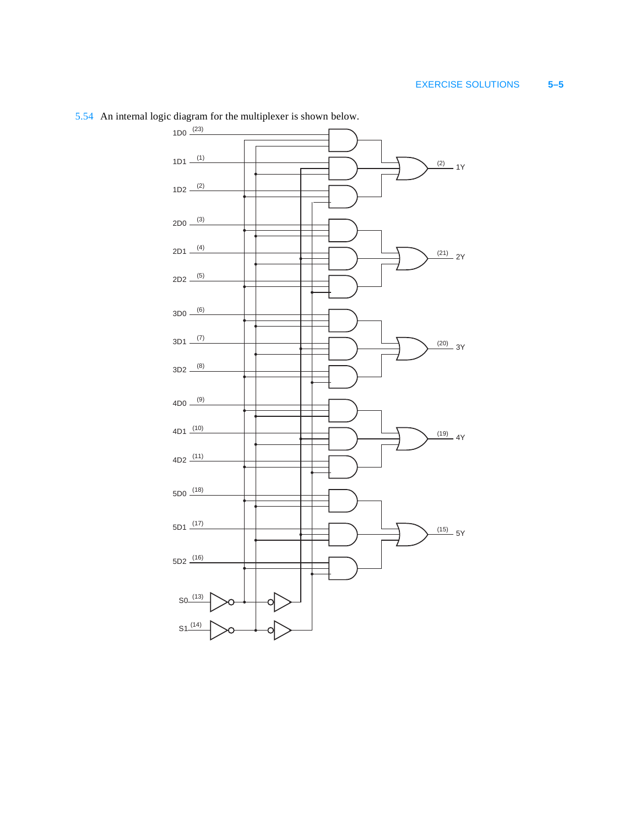

5.54 An internal logic diagram for the multiplexer is shown below.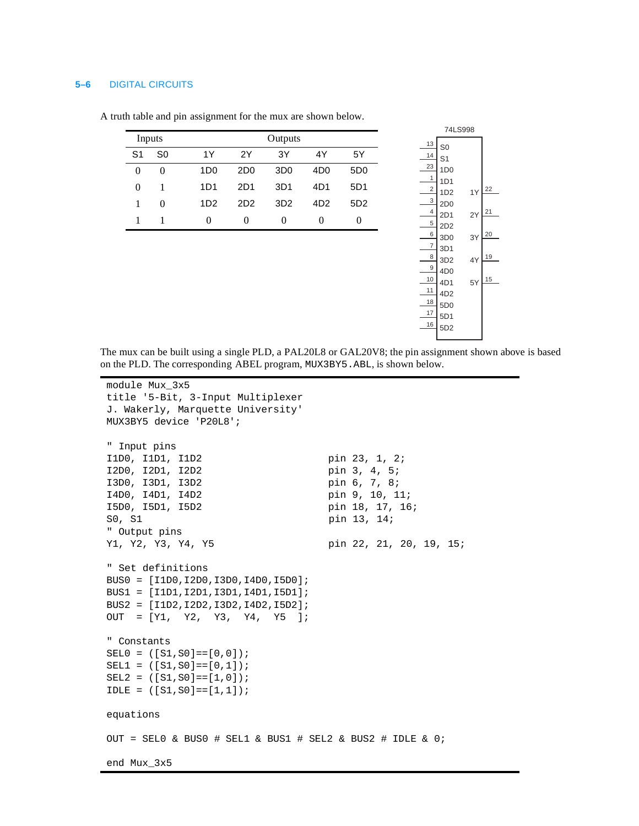#### **5–6** DIGITAL CIRCUITS

| Inputs   |          | Outputs         |                 |                   |                 |                 |
|----------|----------|-----------------|-----------------|-------------------|-----------------|-----------------|
| S1       | S0       | 1Y              | 2Υ              | 3Y                | 4Y              | 5Υ              |
| $\Omega$ | $\Omega$ | 1D <sub>0</sub> | 2D <sub>0</sub> | 3D <sub>0</sub>   | 4D <sub>0</sub> | 5D <sub>0</sub> |
| 0        | 1        | 1D1             | 2D1             | 3D1               | 4D1             | 5D1             |
| 1        | $^{(1)}$ | 1D <sub>2</sub> | 2D <sub>2</sub> | 3D <sub>2</sub>   | 4D <sub>2</sub> | 5D <sub>2</sub> |
|          |          | $\Omega$        | 0               | $\mathbf{\Omega}$ | $\mathbf{0}$    |                 |

A truth table and pin assignment for the mux are shown below.



The mux can be built using a single PLD, a PAL20L8 or GAL20V8; the pin assignment shown above is based on the PLD. The corresponding ABEL program, MUX3BY5.ABL, is shown below.

```
module Mux_3x5
title '5-Bit, 3-Input Multiplexer
J. Wakerly, Marquette University'
MUX3BY5 device 'P20L8';
" Input pins
I1D0, I1D1, I1D2 pin 23, 1, 2;
I2D0, I2D1, I2D2 pin 3, 4, 5;
I3D0, I3D1, I3D2 pin 6, 7, 8;
I4D0, I4D1, I4D2 pin 9, 10, 11;
I5D0, I5D1, I5D2 pin 18, 17, 16;
S0, S1 pin 13, 14;
" Output pins
Y1, Y2, Y3, Y4, Y5 pin 22, 21, 20, 19, 15;
" Set definitions
BUS0 = [I1D0,I2D0,I3D0,I4D0,I5D0];
BUS1 = [I1D1,I2D1,I3D1,I4D1,I5D1];
BUS2 = [I1D2,I2D2,I3D2,I4D2,I5D2];
OUT = [Y1, Y2, Y3, Y4, Y5 ];
" Constants
SEL0 = ( [S1, S0] == [0, 0]);
SELI = ([S1, SO] == [0, 1]);SEL2 = ([S1, SO] == [1, 0]);IDLE = ([S1, S0] == [1,1]);equations
OUT = SEL0 & BUS0 # SEL1 & BUS1 # SEL2 & BUS2 # IDLE & 0;
end Mux_3x5
```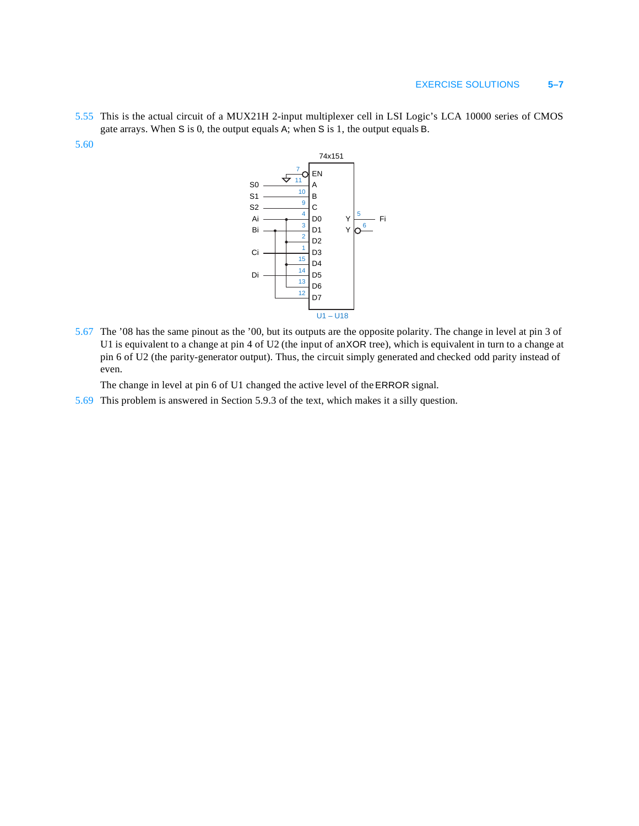- 5.55 This is the actual circuit of a MUX21H 2-input multiplexer cell in LSI Logic's LCA 10000 series of CMOS gate arrays. When S is 0, the output equals A; when S is 1, the output equals B.
- 5.60



5.67 The '08 has the same pinout as the '00, but its outputs are the opposite polarity. The change in level at pin 3 of U1 is equivalent to a change at pin 4 of U2 (the input of an XOR tree), which is equivalent in turn to a change at pin 6 of U2 (the parity-generator output). Thus, the circuit simply generated and checked odd parity instead of even.

The change in level at pin 6 of U1 changed the active level of the ERROR signal.

5.69 This problem is answered in Section 5.9.3 of the text, which makes it a silly question.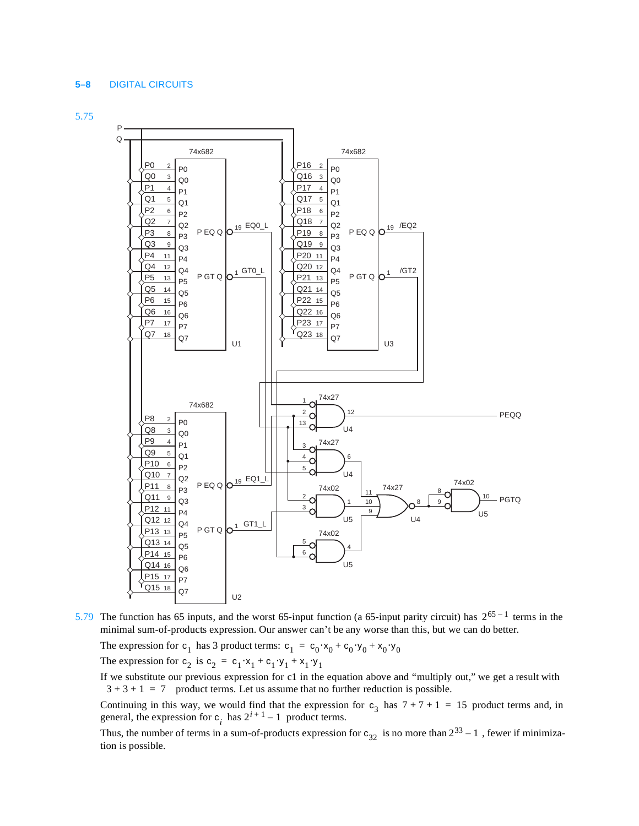#### **5–8** DIGITAL CIRCUITS





5.79 The function has 65 inputs, and the worst 65-input function (a 65-input parity circuit) has  $2^{65 - 1}$  terms in the minimal sum-of-products expression. Our answer can't be any worse than this, but we can do better.

The expression for  $c_1$  has 3 product terms:  $c_1 = c_0 \cdot x_0 + c_0 \cdot y_0 + x_0 \cdot y_0$ The expression for  $c_2$  is  $c_2 = c_1 \cdot x_1 + c_1 \cdot y_1 + x_1 \cdot y_1$ 

If we substitute our previous expression for c1 in the equation above and "multiply out," we get a result with  $3 + 3 + 1 = 7$  product terms. Let us assume that no further reduction is possible.

Continuing in this way, we would find that the expression for  $c_3$  has  $7 + 7 + 1 = 15$  product terms and, in general, the expression for  $c_i$  has  $2^{i+1} - 1$  product terms.

Thus, the number of terms in a sum-of-products expression for  $c_{32}$  is no more than  $2^{33} - 1$ , fewer if minimization is possible.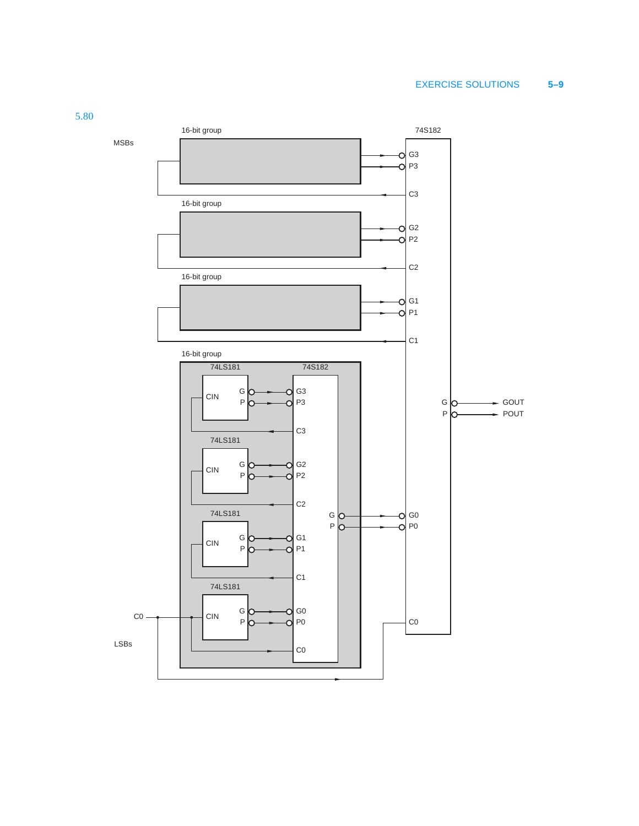# EXERCISE SOLUTIONS **5–9**